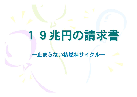# 19兆円の請求書

-止まらない核燃料サイクルー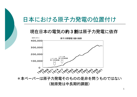# 日本における原子力発電の位置付け

#### 現在日本の電気の約3割は原子力発電に依存



\*本ペーパーは原子力発電そのものの是非を問うものではない (脱原発は中長期的課題)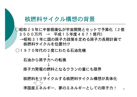## 核燃料サイクル構想の背景

○昭和29年に中曽根康弘が宇宙開発とセットで予算化(2億 3 5 0 0 万円 → 平成 1 5 年度 4 6 7 1 億円)

→昭和31年に国の原子力政策を定める原子力長期計画で 核燃料サイクルを位置付け

○1970年代の2度にわたる石油危機

石油から原子力への転換

原子力発電の燃料となるウランの量にも限界

核燃料をリサイクルする核燃料サイクル構想が具体化

準国産エネルギー、夢のエネルギーとしての原子力!  $\overline{2}$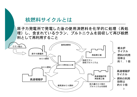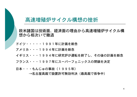#### 高速増殖炉サイクル構想の挫折

欧米諸国は技術面、経済面の理由から高速増殖炉サイクル構 想から相次いで撤退

- ドイツ・・・・・1991年に計画を断念
- アメリカ・・・1994年に計画を断念

イギリス・・・1994年に研究炉が運転を終了し、その後の計画を断念

- フランス・・・1997年にスーパーフェニックスの閉鎖を決定
- 日本・・・もんじゅの事故 (1995年)

→名古屋高裁で設置許可無効判決(最高裁で係争中)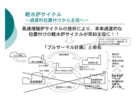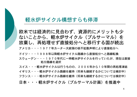#### 軽水炉サイクル構想すらも停滞

欧米では経済的に見合わず、資源的にメリットも少 ないことから、軽水炉サイクル(プルサーマル)を 放棄し、再処理せず直接処分へと移行する国が続出 アメリカ・・・1977年カーター大統領の核不拡散声明により直接処分へ ドイツ・・・1998年以降軽水炉サイクル路線から直接処分へと路線転換 スウェーデン・・・1970年代に一時軽水炉サイクルを行っていたが、現在は直接 処分路線を選択 スイス・・・軽水炉サイクルは行うものの、2006年から10年間の再処理凍結 イギリス・・・軽水炉サイクル路線を維持(将来も継続するかについては検討中) フランス・・・軽水炉サイクル路線を維持(将来も継続するかについては検討中) 日本・・・軽水炉サイクル(プルサーマル計画)を推進中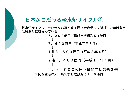#### 日本がこだわる軽水炉サイクル(1)

軽水炉サイクルに欠かせない再処理工場(青森県六ヶ所村)の建設費用 は鰻登りに膨らんでいる

> 6, 900億円 (構想当初昭和54年頃) J 7, 600億円 (平成元年3月) 1兆8, 800億円 (平成8年4月)

2兆1,400億円(平成11年4月)

2兆2, 000億円(構想当初の約3倍!) ※関西空港の人工島ですら建設費は1. 6兆円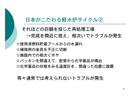#### 日本がこだわる軽水炉サイクル(2)

それほどの巨額を投じた再処理工場 →完成を間近に控え、相次いでトラブルが発生

☆使用済燃料貯蔵プールからの水漏れ

☆補強用の金具を不正に切断

☆施設内での相次ぐボヤ

☆パッキンを間違えて、配管から化学薬品が噴出 ☆化学薬品の状態をみる温度計を、間違った位置に設置

等々通常では考えられないトラブルが発生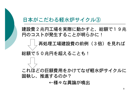#### 日本がこだわる軽水炉サイクル(3)

建設費2兆円工場を実際に動かすと、総額で19兆 円のコストが発生することが明らかに!

再処理工場建設費の前例 (3倍) を見れば

総額で50兆円を超えることも!

これほどの巨額費用をかけてなぜ軽水炉サイクルに 固執し、推進するのか?

←様々な異論が噴出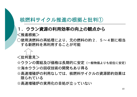## 核燃料サイクル推進の根拠と批判(1)

#### 1. ウラン資源の利用効率の向上の観点から

<推進根拠>

○使用済燃料の再処理により、元の燃料の約2.5~4割に相当 する新燃料を再利用することが可能



<批判意見>

☆ウランの需給及び価格は長期的に安定(一般物価よりも低位に安定) ☆海水ウランの回収技術の開発もあり得る

☆高速増殖炉の利用なしでは、核燃料サイクルの資源節約効果は 限られている

☆高速増殖炉の実用化の目処が立っていない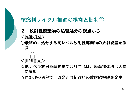## 核燃料サイクル推進の根拠と批判(2)

#### 2. 放射性廃棄物の処理処分の観点から

<推進根拠>

○最終的に処分する高レベル放射性廃棄物の放射能量を低 減



☆低レベル放射廃棄物まで合計すれば、廃棄物体積は大幅 に増加

☆再処理の過程で、原発とは桁違いの放射線被曝が発生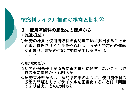## 核燃料サイクル推進の根拠と批判(3)

#### 3. 使用済燃料の搬出先の観点から <推進根拠>

○原発の地元と使用済燃料を再処理工場に搬出することを 約束。核燃料サイクルをやめれば、原子力発電所の運転 が止まり、電気の供給に支障が生じるおそれ

#### <批判意見>

- ☆原発の稼働停止が直ちに電力供給に影響しないことは昨 夏の東電問題からも明らか
- ☆原発立地県からも、福島県知事のように、使用済燃料の 搬出先問題をもってサイクルを正当化することは「問題 のすり替え」との批判あり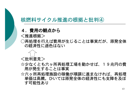#### 核燃料サイクル推進の根拠と批判④

#### 4. 費用の観点から

<推進根拠>

○再処理を行えば費用が生じることは事実だが、原発全体 の経済性に遜色はない



〈批判意見〉

- ☆少なくとも六ヶ所再処理工場を動かせば、19兆円の費 用が発生することは事実
- ☆六ヶ所再処理施設の稼働が順調に進まなければ、再処理 単価は高騰。ひいては原発全体の経済性にも支障を及ぼ す可能性あり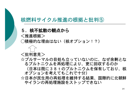#### 核燃料サイクル推進の根拠と批判(5)

#### 5.核不拡散の観点から

<推進根拠>

○積極的な理由はない(核オプション!?)



☆プルサーマルの目処も立っていないのに、なぜ余剰とな るプルトニウムを再処理により、更に回収するのか

(日本は既に38tのプルトニウムを保有しており、核 オプションを考えてもこれで十分)

☆日本が民生用の再処理を維持する結果、国際的に北朝鮮 やイランの再処理施設をストップできない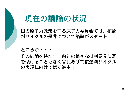

国の原子力政策を司る原子力委員会では、核燃 料サイクルの是非について議論がスタート

ところが・・・

その結論を待たず、前述の様々な批判意見に耳 を傾けることもなく官民あげて核燃料サイクル の実現に向けてばく進中!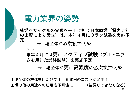



核燃料サイクルの実現を一手に担う日本原燃(電力会社 の出資により設立)は、本年4月にウラン試験を実施予 定

→工場全体が放射能で汚染

来年4月には更にアクティブ試験(プルトニウ ムを用いた最終試験)を実施予定

→工場全体が更に高濃度の放射能で汚染

工場全体の解体費用だけで1. 6兆円のコストが発生! 工場の他の用途への転用も不可能に・・・(後戻りできなくなる)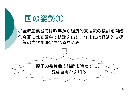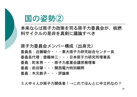

#### 本来ならば原子力政策を司る原子力委員会が、核燃 料サイクルの是非を真剣に議論すべき

原子力委員会メンバー構成(出身元) 委員長:近藤駿介・・・東大原子力研究総合センター長 委員長代理:齋藤伸三・・・日本原子力研究所理事長 委員:町末男・・・原子力産業会議常務理事 委員:前田肇・・・関西電力特別顧問 委員:木元教子・・・評論家

5人中4人が原子力関係者!→これでほんとに中立的なの?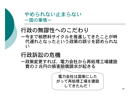## やめられない止まらない 一国の事情ー

# 行政の無謬性へのこだわり

一今まで核燃料サイクルを推進してきたことが時 代遅れとなったという政策の誤りを認められな  $\iota$ 

## 行政訴訟の危機

一政策変更すれば、電力会社から再処理工場建設 費の2兆円の損害賠償請求が起きる

> 電力会社は国策にした がって再処理工場を建設 してきたんだ!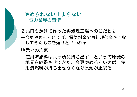やめられない止まらない 一雷力業界の事情ー

2兆円もかけて作った再処理工場へのこだわり

一今更やめるといえば、電気料金で再処理代金を回収 してきたものを返せといわれる

#### 地元との約束

一使用済燃料は六ヶ所に持ち出す、といって原発の 地元を納得させてきた。今更やめるといえば、使 用済燃料が持ち出せなくなり原発が止まる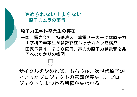

#### やめられない止まらない 一原子力ムラの事情ー

#### 原子力工学科卒業生の存在

- 一国、雷力会社、特殊法人、重雷メーカーには原子力 工学科の卒業生が多数存在し原子力ムラを構成
- 一国家予算4,700億円、電力の原子力発電費2兆 円へのたかりの構図

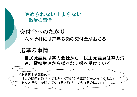やめられない止まらない ー政治の事情ー

交付金へのたかり 一六ヶ所村には毎年多額の交付金がおちる

# 選挙の事情

一自民党議員は電力会社から、民主党議員は電力労 連、雷機労連から様々な支援を受けている

ある民主党議員の声 「この問題を取り上げるとすぐ労組から電話がかかってくるなぁ、 もっと世の中が騒いでくれると取り上げられるのになぁ」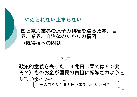

#### やめられない止まらない

### 国と電力業界の原子力利権を巡る政界、官 界、業界、自治体のたかりの構図 →既得権への固執

#### 政策的意義を失った19兆円(果ては50兆 円?)ものお金が国民の負担に転嫁されようと  $LT152...$ 一人当たり19万円(果ては50万円?)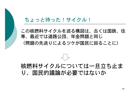#### ちょっと待った!サイクル!

この核燃料サイクルを巡る構図は、古くは国鉄、住 専、最近では道路公団、年金問題と同じ (問題の先送りによるツケが国民に回ることに)

# 核燃料サイクルについては一旦立ち止ま り、国民的議論が必要ではないか